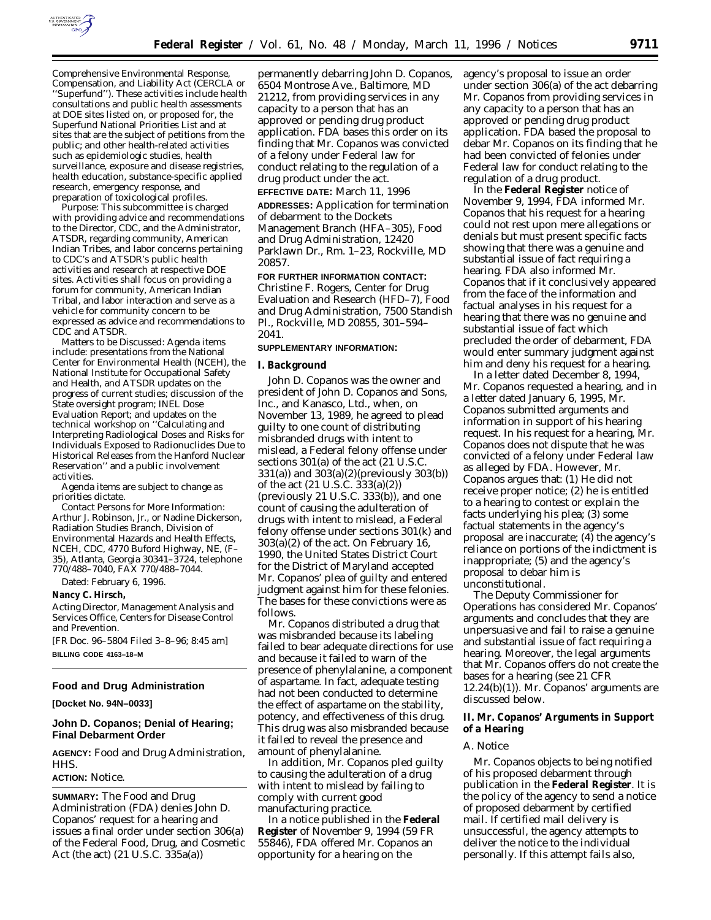

Comprehensive Environmental Response, Compensation, and Liability Act (CERCLA or ''Superfund''). These activities include health consultations and public health assessments at DOE sites listed on, or proposed for, the Superfund National Priorities List and at sites that are the subject of petitions from the public; and other health-related activities such as epidemiologic studies, health surveillance, exposure and disease registries, health education, substance-specific applied research, emergency response, and preparation of toxicological profiles.

*Purpose:* This subcommittee is charged with providing advice and recommendations to the Director, CDC, and the Administrator, ATSDR, regarding community, American Indian Tribes, and labor concerns pertaining to CDC's and ATSDR's public health activities and research at respective DOE sites. Activities shall focus on providing a forum for community, American Indian Tribal, and labor interaction and serve as a vehicle for community concern to be expressed as advice and recommendations to CDC and ATSDR.

*Matters to be Discussed:* Agenda items include: presentations from the National Center for Environmental Health (NCEH), the National Institute for Occupational Safety and Health, and ATSDR updates on the progress of current studies; discussion of the State oversight program; INEL Dose Evaluation Report; and updates on the technical workshop on ''Calculating and Interpreting Radiological Doses and Risks for Individuals Exposed to Radionuclides Due to Historical Releases from the Hanford Nuclear Reservation'' and a public involvement activities.

Agenda items are subject to change as priorities dictate.

*Contact Persons for More Information:* Arthur J. Robinson, Jr., or Nadine Dickerson, Radiation Studies Branch, Division of Environmental Hazards and Health Effects, NCEH, CDC, 4770 Buford Highway, NE, (F– 35), Atlanta, Georgia 30341–3724, telephone 770/488–7040, FAX 770/488–7044.

Dated: February 6, 1996.

**Nancy C. Hirsch,**

*Acting Director, Management Analysis and Services Office, Centers for Disease Control and Prevention.*

[FR Doc. 96–5804 Filed 3–8–96; 8:45 am] **BILLING CODE 4163–18–M**

### **Food and Drug Administration**

**[Docket No. 94N–0033]**

## **John D. Copanos; Denial of Hearing; Final Debarment Order**

**AGENCY:** Food and Drug Administration, HHS.

## **ACTION:** Notice.

**SUMMARY:** The Food and Drug Administration (FDA) denies John D. Copanos' request for a hearing and issues a final order under section 306(a) of the Federal Food, Drug, and Cosmetic Act (the act) (21 U.S.C. 335a(a))

permanently debarring John D. Copanos, 6504 Montrose Ave., Baltimore, MD 21212, from providing services in any capacity to a person that has an approved or pending drug product application. FDA bases this order on its finding that Mr. Copanos was convicted of a felony under Federal law for conduct relating to the regulation of a drug product under the act.

#### **EFFECTIVE DATE:** March 11, 1996

**ADDRESSES:** Application for termination of debarment to the Dockets Management Branch (HFA–305), Food and Drug Administration, 12420 Parklawn Dr., Rm. 1–23, Rockville, MD 20857.

# **FOR FURTHER INFORMATION CONTACT:**

Christine F. Rogers, Center for Drug Evaluation and Research (HFD–7), Food and Drug Administration, 7500 Standish Pl., Rockville, MD 20855, 301–594– 2041.

#### **SUPPLEMENTARY INFORMATION:**

#### **I. Background**

John D. Copanos was the owner and president of John D. Copanos and Sons, Inc., and Kanasco, Ltd., when, on November 13, 1989, he agreed to plead guilty to one count of distributing misbranded drugs with intent to mislead, a Federal felony offense under sections 301(a) of the act (21 U.S.C. 331(a)) and 303(a)(2)(previously 303(b)) of the act (21 U.S.C. 333(a)(2)) (previously 21 U.S.C. 333(b)), and one count of causing the adulteration of drugs with intent to mislead, a Federal felony offense under sections 301(k) and 303(a)(2) of the act. On February 16, 1990, the United States District Court for the District of Maryland accepted Mr. Copanos' plea of guilty and entered judgment against him for these felonies. The bases for these convictions were as follows.

Mr. Copanos distributed a drug that was misbranded because its labeling failed to bear adequate directions for use and because it failed to warn of the presence of phenylalanine, a component of aspartame. In fact, adequate testing had not been conducted to determine the effect of aspartame on the stability, potency, and effectiveness of this drug. This drug was also misbranded because it failed to reveal the presence and amount of phenylalanine.

In addition, Mr. Copanos pled guilty to causing the adulteration of a drug with intent to mislead by failing to comply with current good manufacturing practice.

In a notice published in the **Federal Register** of November 9, 1994 (59 FR 55846), FDA offered Mr. Copanos an opportunity for a hearing on the

agency's proposal to issue an order under section 306(a) of the act debarring Mr. Copanos from providing services in any capacity to a person that has an approved or pending drug product application. FDA based the proposal to debar Mr. Copanos on its finding that he had been convicted of felonies under Federal law for conduct relating to the regulation of a drug product.

In the **Federal Register** notice of November 9, 1994, FDA informed Mr. Copanos that his request for a hearing could not rest upon mere allegations or denials but must present specific facts showing that there was a genuine and substantial issue of fact requiring a hearing. FDA also informed Mr. Copanos that if it conclusively appeared from the face of the information and factual analyses in his request for a hearing that there was no genuine and substantial issue of fact which precluded the order of debarment, FDA would enter summary judgment against him and deny his request for a hearing.

In a letter dated December 8, 1994, Mr. Copanos requested a hearing, and in a letter dated January 6, 1995, Mr. Copanos submitted arguments and information in support of his hearing request. In his request for a hearing, Mr. Copanos does not dispute that he was convicted of a felony under Federal law as alleged by FDA. However, Mr. Copanos argues that: (1) He did not receive proper notice; (2) he is entitled to a hearing to contest or explain the facts underlying his plea; (3) some factual statements in the agency's proposal are inaccurate; (4) the agency's reliance on portions of the indictment is inappropriate; (5) and the agency's proposal to debar him is unconstitutional.

The Deputy Commissioner for Operations has considered Mr. Copanos' arguments and concludes that they are unpersuasive and fail to raise a genuine and substantial issue of fact requiring a hearing. Moreover, the legal arguments that Mr. Copanos offers do not create the bases for a hearing (see 21 CFR 12.24(b)(1)). Mr. Copanos' arguments are discussed below.

**II. Mr. Copanos' Arguments in Support of a Hearing**

#### *A. Notice*

Mr. Copanos objects to being notified of his proposed debarment through publication in the **Federal Register**. It is the policy of the agency to send a notice of proposed debarment by certified mail. If certified mail delivery is unsuccessful, the agency attempts to deliver the notice to the individual personally. If this attempt fails also,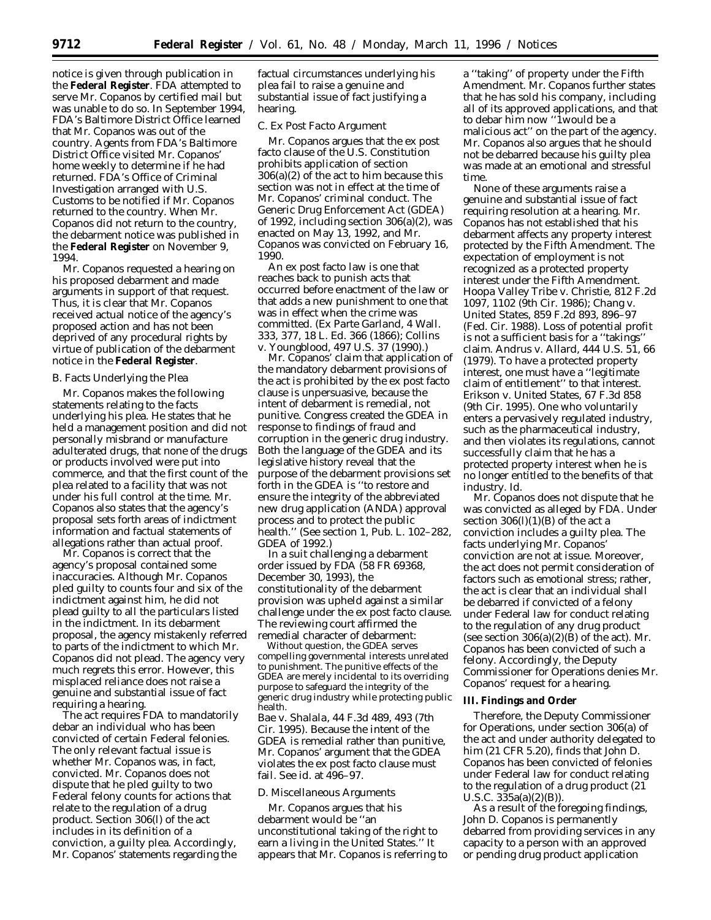notice is given through publication in the **Federal Register**. FDA attempted to serve Mr. Copanos by certified mail but was unable to do so. In September 1994, FDA's Baltimore District Office learned that Mr. Copanos was out of the country. Agents from FDA's Baltimore District Office visited Mr. Copanos' home weekly to determine if he had returned. FDA's Office of Criminal Investigation arranged with U.S. Customs to be notified if Mr. Copanos returned to the country. When Mr. Copanos did not return to the country, the debarment notice was published in the **Federal Register** on November 9, 1994.

Mr. Copanos requested a hearing on his proposed debarment and made arguments in support of that request. Thus, it is clear that Mr. Copanos received actual notice of the agency's proposed action and has not been deprived of any procedural rights by virtue of publication of the debarment notice in the **Federal Register**.

#### *B. Facts Underlying the Plea*

Mr. Copanos makes the following statements relating to the facts underlying his plea. He states that he held a management position and did not personally misbrand or manufacture adulterated drugs, that none of the drugs or products involved were put into commerce, and that the first count of the plea related to a facility that was not under his full control at the time. Mr. Copanos also states that the agency's proposal sets forth areas of indictment information and factual statements of allegations rather than actual proof.

Mr. Copanos is correct that the agency's proposal contained some inaccuracies. Although Mr. Copanos pled guilty to counts four and six of the indictment against him, he did not plead guilty to all the particulars listed in the indictment. In its debarment proposal, the agency mistakenly referred to parts of the indictment to which Mr. Copanos did not plead. The agency very much regrets this error. However, this misplaced reliance does not raise a genuine and substantial issue of fact requiring a hearing.

The act requires FDA to mandatorily debar an individual who has been convicted of certain Federal felonies. The only relevant factual issue is whether Mr. Copanos was, in fact, convicted. Mr. Copanos does not dispute that he pled guilty to two Federal felony counts for actions that relate to the regulation of a drug product. Section 306(l) of the act includes in its definition of a conviction, a guilty plea. Accordingly, Mr. Copanos' statements regarding the

factual circumstances underlying his plea fail to raise a genuine and substantial issue of fact justifying a hearing.

## *C. Ex Post Facto Argument*

Mr. Copanos argues that the ex post facto clause of the U.S. Constitution prohibits application of section 306(a)(2) of the act to him because this section was not in effect at the time of Mr. Copanos' criminal conduct. The Generic Drug Enforcement Act (GDEA) of 1992, including section 306(a)(2), was enacted on May 13, 1992, and Mr. Copanos was convicted on February 16, 1990.

An ex post facto law is one that reaches back to punish acts that occurred before enactment of the law or that adds a new punishment to one that was in effect when the crime was committed. (*Ex Parte Garland*, 4 Wall. 333, 377, 18 L. Ed. 366 (1866); *Collins* v. *Youngblood*, 497 U.S. 37 (1990).)

Mr. Copanos' claim that application of the mandatory debarment provisions of the act is prohibited by the ex post facto clause is unpersuasive, because the intent of debarment is remedial, not punitive. Congress created the GDEA in response to findings of fraud and corruption in the generic drug industry. Both the language of the GDEA and its legislative history reveal that the purpose of the debarment provisions set forth in the GDEA is ''to restore and ensure the integrity of the abbreviated new drug application (ANDA) approval process and to protect the public health.'' (See section 1, Pub. L. 102–282, GDEA of 1992.)

In a suit challenging a debarment order issued by FDA (58 FR 69368, December 30, 1993), the constitutionality of the debarment provision was upheld against a similar challenge under the ex post facto clause. The reviewing court affirmed the remedial character of debarment:

Without question, the GDEA serves compelling governmental interests unrelated to punishment. The punitive effects of the GDEA are merely incidental to its overriding purpose to safeguard the integrity of the generic drug industry while protecting public health.

*Bae* v. *Shalala*, 44 F.3d 489, 493 (7th Cir. 1995). Because the intent of the GDEA is remedial rather than punitive, Mr. Copanos' argument that the GDEA violates the ex post facto clause must fail. *See id*. at 496–97.

#### *D. Miscellaneous Arguments*

Mr. Copanos argues that his debarment would be ''an unconstitutional taking of the right to earn a living in the United States.'' It appears that Mr. Copanos is referring to a ''taking'' of property under the Fifth Amendment. Mr. Copanos further states that he has sold his company, including all of its approved applications, and that to debar him now ''1would be a malicious act'' on the part of the agency. Mr. Copanos also argues that he should not be debarred because his guilty plea was made at an emotional and stressful time.

None of these arguments raise a genuine and substantial issue of fact requiring resolution at a hearing. Mr. Copanos has not established that his debarment affects any property interest protected by the Fifth Amendment. The expectation of employment is not recognized as a protected property interest under the Fifth Amendment. *Hoopa Valley Tribe* v. *Christie*, 812 F.2d 1097, 1102 (9th Cir. 1986); *Chang* v. *United States*, 859 F.2d 893, 896–97 (Fed. Cir. 1988). Loss of potential profit is not a sufficient basis for a ''takings'' claim. *Andrus* v. *Allard*, 444 U.S. 51, 66 (1979). To have a protected property interest, one must have a ''legitimate claim of entitlement'' to that interest. *Erikson* v. *United States*, 67 F.3d 858 (9th Cir. 1995). One who voluntarily enters a pervasively regulated industry, such as the pharmaceutical industry, and then violates its regulations, cannot successfully claim that he has a protected property interest when he is no longer entitled to the benefits of that industry. *Id*.

Mr. Copanos does not dispute that he was convicted as alleged by FDA. Under section  $306(l)(1)(B)$  of the act a conviction includes a guilty plea. The facts underlying Mr. Copanos' conviction are not at issue. Moreover, the act does not permit consideration of factors such as emotional stress; rather, the act is clear that an individual shall be debarred if convicted of a felony under Federal law for conduct relating to the regulation of any drug product (see section  $306(a)(2)(B)$  of the act). Mr. Copanos has been convicted of such a felony. Accordingly, the Deputy Commissioner for Operations denies Mr. Copanos' request for a hearing.

### **III. Findings and Order**

Therefore, the Deputy Commissioner for Operations, under section 306(a) of the act and under authority delegated to him (21 CFR 5.20), finds that John D. Copanos has been convicted of felonies under Federal law for conduct relating to the regulation of a drug product (21 U.S.C. 335a(a)(2)(B)).

As a result of the foregoing findings, John D. Copanos is permanently debarred from providing services in any capacity to a person with an approved or pending drug product application